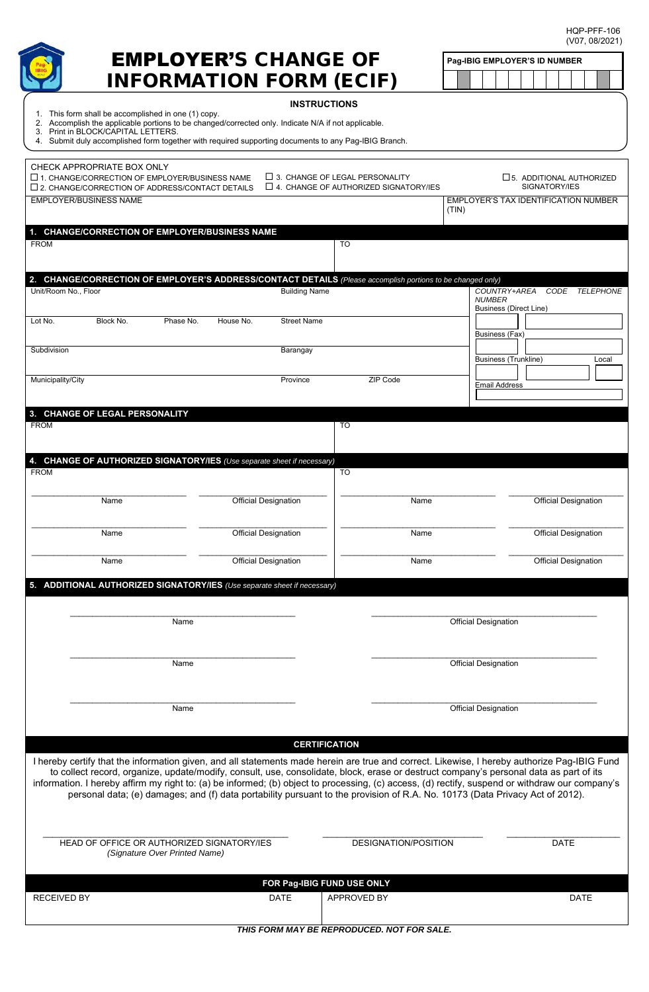HQP-PFF-106 (V07, 08/2021)

|                                                                                                                                                                                                                                                                                        |                                                                                       | (V07, 08/2021)              |  |                               |  |  |               |                             |                                      |  |
|----------------------------------------------------------------------------------------------------------------------------------------------------------------------------------------------------------------------------------------------------------------------------------------|---------------------------------------------------------------------------------------|-----------------------------|--|-------------------------------|--|--|---------------|-----------------------------|--------------------------------------|--|
| EMPLOYER'S CHANGE OF<br><b>INFORMATION FORM (ECIF)</b>                                                                                                                                                                                                                                 |                                                                                       |                             |  | Pag-IBIG EMPLOYER'S ID NUMBER |  |  |               |                             |                                      |  |
|                                                                                                                                                                                                                                                                                        | <b>INSTRUCTIONS</b>                                                                   |                             |  |                               |  |  |               |                             |                                      |  |
| 1. This form shall be accomplished in one (1) copy.<br>2. Accomplish the applicable portions to be changed/corrected only. Indicate N/A if not applicable.                                                                                                                             |                                                                                       |                             |  |                               |  |  |               |                             |                                      |  |
| 3. Print in BLOCK/CAPITAL LETTERS.<br>4. Submit duly accomplished form together with required supporting documents to any Pag-IBIG Branch.                                                                                                                                             |                                                                                       |                             |  |                               |  |  |               |                             |                                      |  |
| CHECK APPROPRIATE BOX ONLY                                                                                                                                                                                                                                                             |                                                                                       |                             |  |                               |  |  |               |                             |                                      |  |
| $\Box$ 1. CHANGE/CORRECTION OF EMPLOYER/BUSINESS NAME<br>$\square$ 2. CHANGE/CORRECTION OF ADDRESS/CONTACT DETAILS                                                                                                                                                                     | $\Box$ 3. CHANGE OF LEGAL PERSONALITY<br>$\Box$ 4. CHANGE OF AUTHORIZED SIGNATORY/IES |                             |  |                               |  |  | SIGNATORY/IES |                             | $\square$ 5. ADDITIONAL AUTHORIZED   |  |
| <b>EMPLOYER/BUSINESS NAME</b>                                                                                                                                                                                                                                                          |                                                                                       | (TIN)                       |  |                               |  |  |               |                             | EMPLOYER'S TAX IDENTIFICATION NUMBER |  |
| 1. CHANGE/CORRECTION OF EMPLOYER/BUSINESS NAME                                                                                                                                                                                                                                         |                                                                                       |                             |  |                               |  |  |               |                             |                                      |  |
| <b>FROM</b>                                                                                                                                                                                                                                                                            | TO                                                                                    |                             |  |                               |  |  |               |                             |                                      |  |
| 2. CHANGE/CORRECTION OF EMPLOYER'S ADDRESS/CONTACT DETAILS (Please accomplish portions to be changed only)                                                                                                                                                                             |                                                                                       |                             |  |                               |  |  |               |                             |                                      |  |
| Unit/Room No., Floor<br><b>Building Name</b>                                                                                                                                                                                                                                           |                                                                                       |                             |  | COUNTRY+AREA<br><b>NUMBER</b> |  |  |               |                             | CODE TELEPHONE                       |  |
| Lot No.<br>Block No.<br>Phase No.<br>House No.<br><b>Street Name</b>                                                                                                                                                                                                                   |                                                                                       |                             |  | <b>Business (Direct Line)</b> |  |  |               |                             |                                      |  |
|                                                                                                                                                                                                                                                                                        |                                                                                       |                             |  | Business (Fax)                |  |  |               |                             |                                      |  |
| Subdivision<br>Barangay                                                                                                                                                                                                                                                                |                                                                                       |                             |  | <b>Business (Trunkline)</b>   |  |  |               |                             | Local                                |  |
| Municipality/City<br>Province                                                                                                                                                                                                                                                          | ZIP Code                                                                              |                             |  | <b>Email Address</b>          |  |  |               |                             |                                      |  |
| 3. CHANGE OF LEGAL PERSONALITY                                                                                                                                                                                                                                                         |                                                                                       |                             |  |                               |  |  |               |                             |                                      |  |
| <b>FROM</b>                                                                                                                                                                                                                                                                            | TO                                                                                    |                             |  |                               |  |  |               |                             |                                      |  |
|                                                                                                                                                                                                                                                                                        |                                                                                       |                             |  |                               |  |  |               |                             |                                      |  |
| 4. CHANGE OF AUTHORIZED SIGNATORY/IES (Use separate sheet if necessary)<br><b>FROM</b>                                                                                                                                                                                                 | TO                                                                                    |                             |  |                               |  |  |               |                             |                                      |  |
| <b>Official Designation</b><br>Name                                                                                                                                                                                                                                                    | Name                                                                                  |                             |  |                               |  |  |               | <b>Official Designation</b> |                                      |  |
|                                                                                                                                                                                                                                                                                        |                                                                                       |                             |  |                               |  |  |               |                             |                                      |  |
| <b>Official Designation</b><br>Name                                                                                                                                                                                                                                                    | Name                                                                                  |                             |  |                               |  |  |               | <b>Official Designation</b> |                                      |  |
| <b>Official Designation</b><br>Name                                                                                                                                                                                                                                                    | Name                                                                                  |                             |  |                               |  |  |               | <b>Official Designation</b> |                                      |  |
| 5. ADDITIONAL AUTHORIZED SIGNATORY/IES (Use separate sheet if necessary)                                                                                                                                                                                                               |                                                                                       |                             |  |                               |  |  |               |                             |                                      |  |
|                                                                                                                                                                                                                                                                                        |                                                                                       |                             |  |                               |  |  |               |                             |                                      |  |
| Name                                                                                                                                                                                                                                                                                   |                                                                                       | <b>Official Designation</b> |  |                               |  |  |               |                             |                                      |  |
| Name                                                                                                                                                                                                                                                                                   |                                                                                       | <b>Official Designation</b> |  |                               |  |  |               |                             |                                      |  |
|                                                                                                                                                                                                                                                                                        |                                                                                       |                             |  |                               |  |  |               |                             |                                      |  |
| Name                                                                                                                                                                                                                                                                                   |                                                                                       | <b>Official Designation</b> |  |                               |  |  |               |                             |                                      |  |
|                                                                                                                                                                                                                                                                                        |                                                                                       |                             |  |                               |  |  |               |                             |                                      |  |
|                                                                                                                                                                                                                                                                                        | <b>CERTIFICATION</b>                                                                  |                             |  |                               |  |  |               |                             |                                      |  |
| I hereby certify that the information given, and all statements made herein are true and correct. Likewise, I hereby authorize Pag-IBIG Fund<br>to collect record, organize, update/modify, consult, use, consolidate, block, erase or destruct company's personal data as part of its |                                                                                       |                             |  |                               |  |  |               |                             |                                      |  |
| information. I hereby affirm my right to: (a) be informed; (b) object to processing, (c) access, (d) rectify, suspend or withdraw our company's<br>personal data; (e) damages; and (f) data portability pursuant to the provision of R.A. No. 10173 (Data Privacy Act of 2012).        |                                                                                       |                             |  |                               |  |  |               |                             |                                      |  |
|                                                                                                                                                                                                                                                                                        |                                                                                       |                             |  |                               |  |  |               |                             |                                      |  |
| HEAD OF OFFICE OR AUTHORIZED SIGNATORY/IES                                                                                                                                                                                                                                             | <b>DESIGNATION/POSITION</b>                                                           |                             |  |                               |  |  |               | <b>DATE</b>                 |                                      |  |
| (Signature Over Printed Name)                                                                                                                                                                                                                                                          |                                                                                       |                             |  |                               |  |  |               |                             |                                      |  |
|                                                                                                                                                                                                                                                                                        | FOR Pag-IBIG FUND USE ONLY                                                            |                             |  |                               |  |  |               |                             |                                      |  |
| <b>RECEIVED BY</b><br><b>DATE</b>                                                                                                                                                                                                                                                      | APPROVED BY                                                                           |                             |  |                               |  |  |               | <b>DATE</b>                 |                                      |  |
|                                                                                                                                                                                                                                                                                        | THIS FORM MAY BE REPRODUCED. NOT FOR SALE.                                            |                             |  |                               |  |  |               |                             |                                      |  |